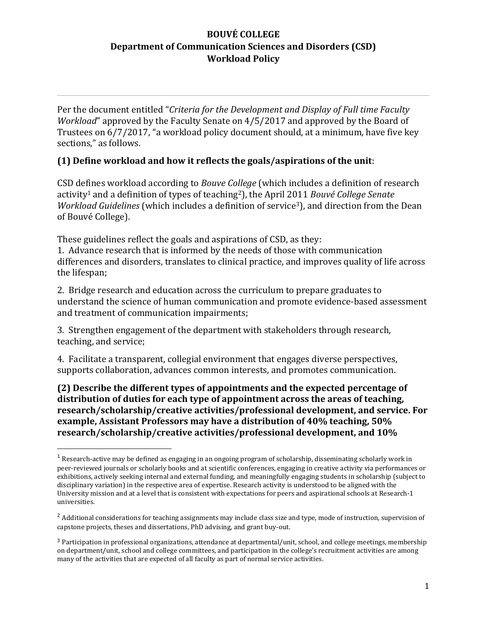Per the document entitled "*Criteria for the Development and Display of Full time Faculty Workload*" approved by the Faculty Senate on 4/5/2017 and approved by the Board of Trustees on 6/7/2017, "a workload policy document should, at a minimum, have five key sections," as follows.

### **(1) Define workload and how it reflects the goals/aspirations of the unit**:

CSD defines workload according to *Bouve College* (which includes a definition of research activity<sup>1</sup> and a definition of types of teaching2), the April 2011 *Bouvé College Senate Workload Guidelines* (which includes a definition of service<sup>3</sup>), and direction from the Dean of Bouvé College).

These guidelines reflect the goals and aspirations of CSD, as they:

1. Advance research that is informed by the needs of those with communication differences and disorders, translates to clinical practice, and improves quality of life across the lifespan;

2. Bridge research and education across the curriculum to prepare graduates to understand the science of human communication and promote evidence-based assessment and treatment of communication impairments;

3. Strengthen engagement of the department with stakeholders through research, teaching, and service;

4. Facilitate a transparent, collegial environment that engages diverse perspectives, supports collaboration, advances common interests, and promotes communication.

**(2) Describe the different types of appointments and the expected percentage of distribution of duties for each type of appointment across the areas of teaching, research/scholarship/creative activities/professional development, and service. For example, Assistant Professors may have a distribution of 40% teaching, 50% research/scholarship/creative activities/professional development, and 10%**

 $1$  Research-active may be defined as engaging in an ongoing program of scholarship, disseminating scholarly work in peer-reviewed journals or scholarly books and at scientific conferences, engaging in creative activity via performances or exhibitions, actively seeking internal and external funding, and meaningfully engaging students in scholarship (subject to disciplinary variation) in the respective area of expertise. Research activity is understood to be aligned with the University mission and at a level that is consistent with expectations for peers and aspirational schools at Research-1 universities.

<sup>&</sup>lt;sup>2</sup> Additional considerations for teaching assignments may include class size and type, mode of instruction, supervision of capstone projects, theses and dissertations, PhD advising, and grant buy-out.

<sup>3</sup> Participation in professional organizations, attendance at departmental/unit, school, and college meetings, membership on department/unit, school and college committees, and participation in the college's recruitment activities are among many of the activities that are expected of all faculty as part of normal service activities.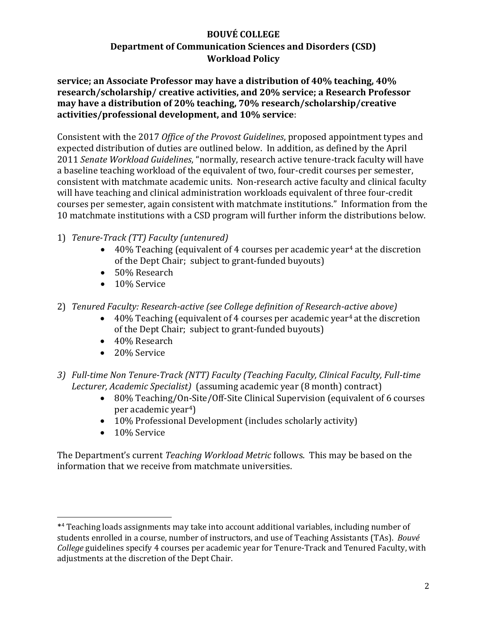**service; an Associate Professor may have a distribution of 40% teaching, 40% research/scholarship/ creative activities, and 20% service; a Research Professor may have a distribution of 20% teaching, 70% research/scholarship/creative activities/professional development, and 10% service**:

Consistent with the 2017 *Office of the Provost Guidelines*, proposed appointment types and expected distribution of duties are outlined below. In addition, as defined by the April 2011 *Senate Workload Guidelines*, "normally, research active tenure-track faculty will have a baseline teaching workload of the equivalent of two, four-credit courses per semester, consistent with matchmate academic units. Non-research active faculty and clinical faculty will have teaching and clinical administration workloads equivalent of three four-credit courses per semester, again consistent with matchmate institutions." Information from the 10 matchmate institutions with a CSD program will further inform the distributions below.

- 1) *Tenure-Track (TT) Faculty (untenured)*
	- $\bullet$  40% Teaching (equivalent of 4 courses per academic vear<sup>4</sup> at the discretion of the Dept Chair; subject to grant-funded buyouts)
	- 50% Research
	- 10% Service
- 2) *Tenured Faculty: Research-active (see College definition of Research-active above)*
	- $\bullet$  40% Teaching (equivalent of 4 courses per academic year<sup>4</sup> at the discretion of the Dept Chair; subject to grant-funded buyouts)
	- 40% Research
	- 20% Service
- *3) Full-time Non Tenure-Track (NTT) Faculty (Teaching Faculty, Clinical Faculty, Full-time Lecturer, Academic Specialist)* (assuming academic year (8 month) contract)
	- 80% Teaching/On-Site/Off-Site Clinical Supervision (equivalent of 6 courses per academic year4)
	- 10% Professional Development (includes scholarly activity)
	- 10% Service

The Department's current *Teaching Workload Metric* follows. This may be based on the information that we receive from matchmate universities.

<sup>\*</sup> <sup>4</sup> Teaching loads assignments may take into account additional variables, including number of students enrolled in a course, number of instructors, and use of Teaching Assistants (TAs). *Bouvé College* guidelines specify 4 courses per academic year for Tenure-Track and Tenured Faculty, with adjustments at the discretion of the Dept Chair.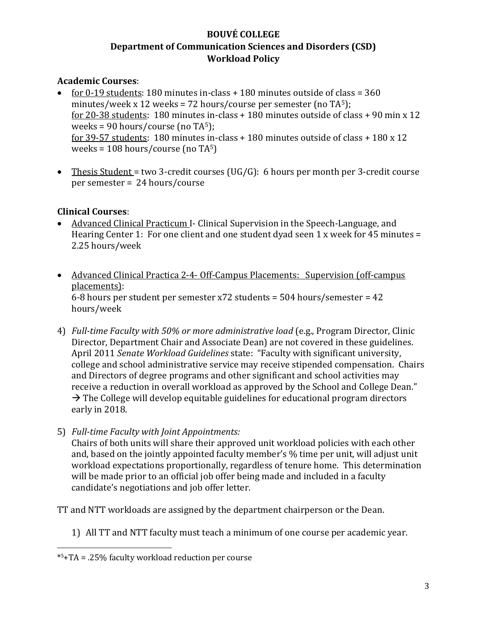### **Academic Courses**:

- for 0-19 students: 180 minutes in-class + 180 minutes outside of class = 360 minutes/week x 12 weeks = 72 hours/course per semester (no  $TA<sup>5</sup>$ ); for 20-38 students: 180 minutes in-class + 180 minutes outside of class + 90 min x 12 weeks = 90 hours/course (no TA5); for 39-57 students: 180 minutes in-class + 180 minutes outside of class + 180 x 12 weeks =  $108$  hours/course (no TA<sup>5</sup>)
- Thesis Student = two 3-credit courses (UG/G): 6 hours per month per 3-credit course per semester = 24 hours/course

### **Clinical Courses**:

- Advanced Clinical Practicum I- Clinical Supervision in the Speech-Language, and Hearing Center 1: For one client and one student dyad seen 1 x week for 45 minutes = 2.25 hours/week
- Advanced Clinical Practica 2-4- Off-Campus Placements: Supervision (off-campus placements): 6-8 hours per student per semester x72 students = 504 hours/semester = 42 hours/week
- 4) *Full-time Faculty with 50% or more administrative load* (e.g., Program Director, Clinic Director, Department Chair and Associate Dean) are not covered in these guidelines. April 2011 *Senate Workload Guidelines* state: "Faculty with significant university, college and school administrative service may receive stipended compensation. Chairs and Directors of degree programs and other significant and school activities may receive a reduction in overall workload as approved by the School and College Dean."  $\rightarrow$  The College will develop equitable guidelines for educational program directors early in 2018.
- 5) *Full-time Faculty with Joint Appointments:* Chairs of both units will share their approved unit workload policies with each other and, based on the jointly appointed faculty member's % time per unit, will adjust unit workload expectations proportionally, regardless of tenure home. This determination will be made prior to an official job offer being made and included in a faculty

TT and NTT workloads are assigned by the department chairperson or the Dean.

1) All TT and NTT faculty must teach a minimum of one course per academic year.

candidate's negotiations and job offer letter.

<sup>\*</sup> 5+TA = .25% faculty workload reduction per course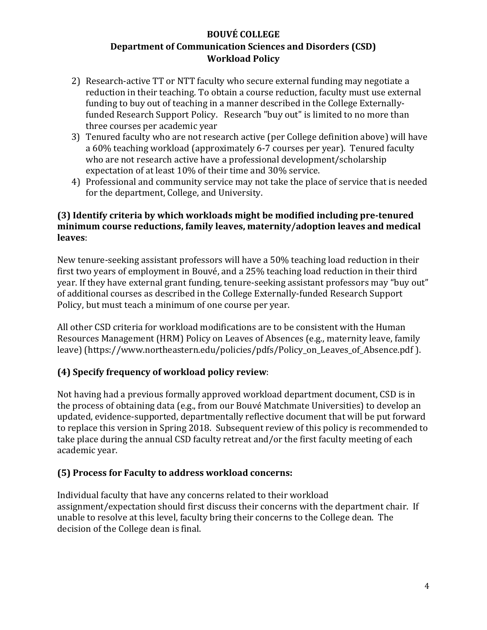- 2) Research-active TT or NTT faculty who secure external funding may negotiate a reduction in their teaching. To obtain a course reduction, faculty must use external funding to buy out of teaching in a manner described in the College Externallyfunded Research Support Policy. Research "buy out" is limited to no more than three courses per academic year
- 3) Tenured faculty who are not research active (per College definition above) will have a 60% teaching workload (approximately 6-7 courses per year). Tenured faculty who are not research active have a professional development/scholarship expectation of at least 10% of their time and 30% service.
- 4) Professional and community service may not take the place of service that is needed for the department, College, and University.

### **(3) Identify criteria by which workloads might be modified including pre-tenured minimum course reductions, family leaves, maternity/adoption leaves and medical leaves**:

New tenure-seeking assistant professors will have a 50% teaching load reduction in their first two years of employment in Bouvé, and a 25% teaching load reduction in their third year. If they have external grant funding, tenure-seeking assistant professors may "buy out" of additional courses as described in the College Externally-funded Research Support Policy, but must teach a minimum of one course per year.

All other CSD criteria for workload modifications are to be consistent with the Human Resources Management (HRM) Policy on Leaves of Absences (e.g., maternity leave, family leave) (https://www.northeastern.edu/policies/pdfs/Policy\_on\_Leaves\_of\_Absence.pdf ).

### **(4) Specify frequency of workload policy review**:

Not having had a previous formally approved workload department document, CSD is in the process of obtaining data (e.g., from our Bouvé Matchmate Universities) to develop an updated, evidence-supported, departmentally reflective document that will be put forward to replace this version in Spring 2018. Subsequent review of this policy is recommended to take place during the annual CSD faculty retreat and/or the first faculty meeting of each academic year.

### **(5) Process for Faculty to address workload concerns:**

Individual faculty that have any concerns related to their workload assignment/expectation should first discuss their concerns with the department chair. If unable to resolve at this level, faculty bring their concerns to the College dean. The decision of the College dean is final.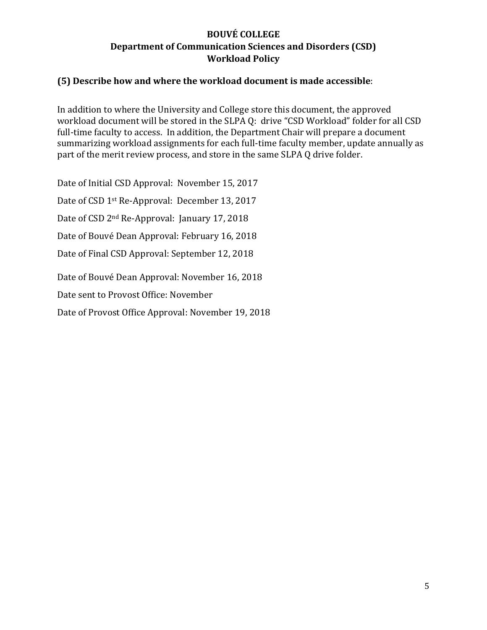#### **(5) Describe how and where the workload document is made accessible**:

In addition to where the University and College store this document, the approved workload document will be stored in the SLPA Q: drive "CSD Workload" folder for all CSD full-time faculty to access. In addition, the Department Chair will prepare a document summarizing workload assignments for each full-time faculty member, update annually as part of the merit review process, and store in the same SLPA Q drive folder.

Date of Initial CSD Approval: November 15, 2017

Date of CSD 1st Re-Approval: December 13, 2017

Date of CSD 2nd Re-Approval: January 17, 2018

Date of Bouvé Dean Approval: February 16, 2018

Date of Final CSD Approval: September 12, 2018

Date of Bouvé Dean Approval: November 16, 2018

Date sent to Provost Office: November

Date of Provost Office Approval: November 19, 2018